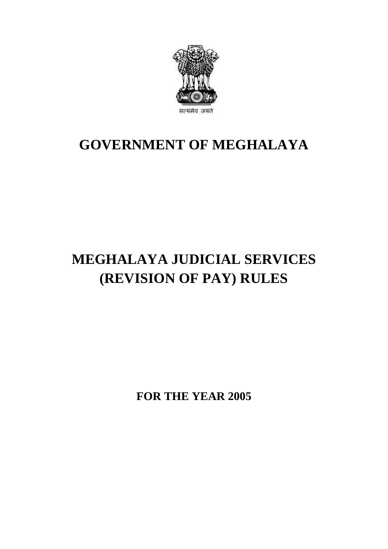

# **GOVERNMENT OF MEGHALAYA**

# **MEGHALAYA JUDICIAL SERVICES (REVISION OF PAY) RULES**

**FOR THE YEAR 2005**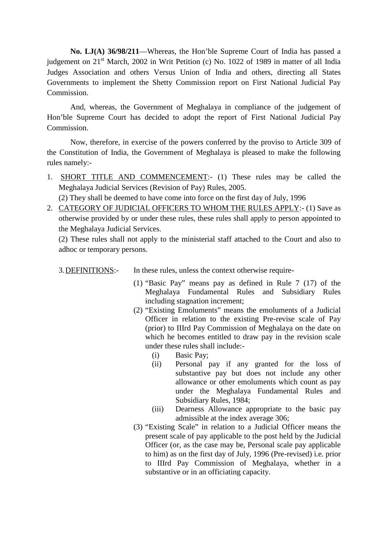**No. LJ(A) 36/98/211**—Whereas, the Hon'ble Supreme Court of India has passed a judgement on 21<sup>st</sup> March, 2002 in Writ Petition (c) No. 1022 of 1989 in matter of all India Judges Association and others Versus Union of India and others, directing all States Governments to implement the Shetty Commission report on First National Judicial Pay Commission.

And, whereas, the Government of Meghalaya in compliance of the judgement of Judges Association and others Versus Union of India and others, directing all States Governments to implement the Shetty Commission report on First National Judicial Pay Commission.<br>And, whereas, the Government of Meghalay Commission. And, whereas, the Government of Meghalaya in compliance of the judgement of Hon'ble Supreme Court has decided to adopt the report of First National Judicial Pay Commission.<br>
Now, therefore, in exercise of the powers confer

rules namely:- Now, therefore, in exercise of the powers conferred by the proviso to Article 309 of<br>the Constitution of India, the Government of Meghalaya is pleased to make the following<br>rules namely:-<br>1. <u>SHORT TITLE AND COMMENCEMENT</u>:

- Meghalaya Judicial Services (Revision of Pay) Rules, 2005. Constitution of India, the Government of Meghalaya is pleased to make the followire shamely:-<br>
SHORT TITLE AND COMMENCEMENT:- (1) These rules may be called the Meghalaya Judicial Services (Revision of Pay) Rules, 2005.<br>
(2 2. CATEGORY OF JUDICIAL OFFICERS TO WHOM THE RULES APPLY:- (1) Save as otherwise provided by or under these rules, these rules shall apply to person appointed to the metric and the service Revision of Pay) Rules, 2005.<br>
2.
	-
- otherwise provided by or under these rules, these rules shall apply to person appointed to (2) They shall be deemed to have come into force on the first day of July, 1996<br>2. CATEGORY OF JUDICIAL OFFICERS TO WHOM THE RULES APPLY:- (1) Save as<br>otherwise provided by or under these rules, these rules shall apply to

(2) These rules shall not apply to the ministerial staff attached to the Court and also to adhoc or temporary persons. 3. DEFINITIONS:<br>
These rules shall not apply to the ministerial staff attached to the Court and<br>
adhoc or temporary persons.<br>
3. DEFINITIONS:- In these rules, unless the context otherwise require-<br>
(1) "Basic Pay" means pa

- (1) "Basic Pay" means pay as defined in Rule 7 (17) of the Solution Context of the require-<br>
Sasic Pay" means pay as defined in Rule 7 (17) of the<br>
Meghalaya Fundamental Rules and Subsidiary Rules<br>
including stagnation increment;<br>
" including stagnation increment;
- (2) "Existing Emoluments" means the emoluments of a Judicial Officer in relation to the existing Pre-revise scale of Pay (prior) to IIIrd Pay Commission of Meghalaya on the date on Meghalaya Fundamental Rules and Subsidiary Rules<br>including stagnation increment;<br>"Existing Emoluments" means the emoluments of a Judicial<br>Officer in relation to the existing Pre-revise scale of Pay<br>(prior) to IIIrd Pay Com under these rules shall include:- Existing Emoluments"<br>
fficer in relation to the<br>
rior) to IIIrd Pay Comn<br>
hich he becomes entitle<br>
ider these rules shall in<br>
(i) Basic Pay;<br>
(ii) Personal pay fficer in relation to the existing Pre-revise scale of Pay<br>
rior) to IIIrd Pay Commission of Meghalaya on the date on<br>
hich he becomes entitled to draw pay in the revision scale<br>
der these rules shall include:-<br>
(i) Basic
	-
	- allowance or other emoluments which count as pay under the Meghalaya Fundamental Rules and Subsidiary Rules, 1984; (ii) Personal pay if any granted for the loss of<br>substantive pay but does not include any other<br>allowance or other emoluments which count as pay<br>under the Meghalaya Fundamental Rules and<br>Subsidiary Rules, 1984;<br>(iii) Dearn
	- admissible at the index average 306;
- (3) "Existing Scale" in relation to a Judicial Officer means the present scale of pay applicable to the post held by the Judicial Officer (or, as the case may be, Personal scale pay applicable to him) as on the first day of July, 1996 (Pre-revised) i.e. prior to IIIrd Pay Commission of Meghalaya, whether in a substantive or in an officiating capacity.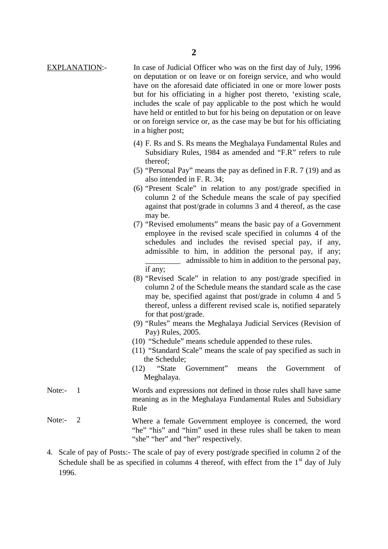- **EXPLANATION:** In case of Judicial Officer who was on the first day of July, 1996<br>on deputation or on leave or on foreign service, and who would on deputation or on leave or on foreign service, and who would have on the aforesaid date officiated in one or more lower posts but for his officiating in a higher post thereto, 'existing scale, includes the scale of pay applicable to the post which he would have held or entitled to but for his being on deputation or on leave or on foreign service or, as the case may be but for his officiating in a higher post; but for firs officiating in a fighter post thereto, existing seate,<br>includes the scale of pay applicable to the post which he would<br>have held or entitled to but for his being on deputation or on leave<br>or on foreign service
	- Subsidiary Rules, 1984 as amended and "F.R" refers to rule thereof;
	- (5) "Personal Pay" means the pay as defined in F.R. 7 (19) and as also intended in F. R. 34;
	- (6) "Present Scale" in relation to any post/grade specified in Subsidiary Rules, 1984 as amended and "F.R" refers to rule<br>thereof;<br>"Personal Pay" means the pay as defined in F.R. 7 (19) and as<br>also intended in F.R. 34;<br>"Present Scale" in relation to any post/grade specified in<br>column against that post/grade in columns 3 and 4 thereof, as the case may be.
	- (7) "Revised emoluments" means the basic pay of a Government employee in the revised scale specified in columns 4 of the schedules and includes the revised special pay, if any, admissible to him, in addition the personal pay, if any; may be.<br>
	"Revised emoluments" means the basic pay of a Government<br>
	employee in the revised scale specified in columns 4 of the<br>
	schedules and includes the revised special pay, if any,<br>
	admissible to him, in addition the pe if any;
	- (8) "Revised Scale" in relation to any post/grade specified in column 2 of the Schedule means the standard scale as the case may be, specified against that post/grade in column 4 and 5 thereof, unless a different revised scale is, notified separately for that post/grade.
	- (9) "Rules" means the Meghalaya Judicial Services (Revision of Pay) Rules, 2005.
	- (10) "Schedule" means schedule appended to these rules.
	- (11) "Standard Scale" means the scale of pay specified as such in the Schedule;
	- (12) "State Government" means the Government of Meghalaya.
- (10) Schedule means schedule appended to these rules.<br>
(11) "Standard Scale" means the scale of pay specified as such in<br>
the Schedule;<br>
(12) "State Government" means the Government of<br>
Meghalaya.<br>
Note:- 1 Words and expre meaning as in the Meghalaya Fundamental Rules and Subsidiary<br>Rule<br>Rules and expressions not defined in those rules shall have same<br>meaning as in the Meghalaya Fundamental Rules and Subsidiary<br>Rule Rule Meghalaya.<br>Note:- 1 Words and expressions not defined in those rules shall have same<br>meaning as in the Meghalaya Fundamental Rules and Subsidiary<br>Rule<br>Note:- 2 Where a female Government employee is concerned, the word<br>"he"
- "he" "his" and "him" used in these rules shall be taken to mean "she" "her" and "her" respectively. 4. Scale of pay of Posts:- The scale of pay of every post/grade specified in column 2 of the Network Scale of pay of Posts:- The scale of pay of every post/grade specified in column 2 of the
- Schedule shall be as specified in columns 4 thereof, with effect from the  $1<sup>st</sup>$  day of July 1996.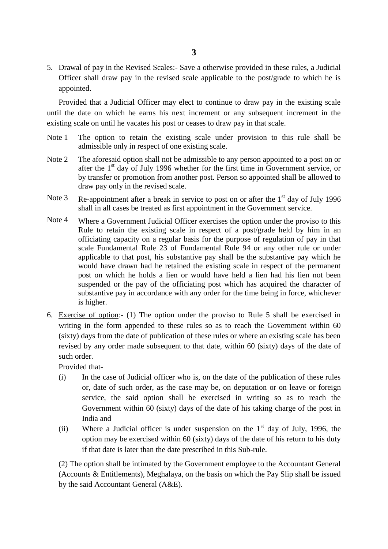5. Drawal of pay in the Revised Scales:- Save a otherwise provided in these rules, a Judicial Officer shall draw pay in the revised scale applicable to the post/grade to which he is appointed.

Provided that a Judicial Officer may elect to continue to draw pay in the existing scale 5. Drawal of pay in the Revised Scales:- Save a otherwise provided in these rules, a Judicial Officer shall draw pay in the revised scale applicable to the post/grade to which he is appointed.<br>Provided that a Judicial Offi existing scale on until he vacates his post or ceases to draw pay in that scale. Provided that a Judicial Officer may elect to continue to draw pay in the existing scale<br>until the date on which he earns his next increment or any subsequent increment in the<br>existing scale on until he vacates his post or

- admissible only in respect of one existing scale. The option to retain the existing scale under provision to this rule shall be admissible only in respect of one existing scale.<br>The aforesaid option shall not be admissible to any person appointed to a post on or after th
- until the date on which he earns his next increment or any subsequent increment in the existing scale on until he vacates his post or ceases to draw pay in that scale.<br>Note 1 The option to retain the existing scale under by transfer or promotion from another post. Person so appointed shall be allowed to draw pay only in the revised scale. Note 2 The aforesaid option shall not be admissible to any person appointed to a post on or after the 1<sup>st</sup> day of July 1996 whether for the first time in Government service, or by transfer or promotion from another post.
- shall in all cases be treated as first appointment in the Government service.
- by transfer or promotion from another post. Person so appointed shall be allowed to<br>draw pay only in the revised scale.<br>Note 3 Re-appointment after a break in service to post on or after the 1<sup>st</sup> day of July 1996<br>shall in Rule to retain the existing scale in respect of a post/grade held by him in an officiating capacity on a regular basis for the purpose of regulation of pay in that scale Fundamental Rule 23 of Fundamental Rule 94 or any other rule or under applicable to that post, his substantive pay shall be the substantive pay which he would have drawn had he retained the existing scale in respect of the permanent post on which he holds a lien or would have held a lien had his lien not been suspended or the pay of the officiating post which has acquired the character of substantive pay in accordance with any order for the time being in force, whichever is higher.
- 6. Exercise of option:- (1) The option under the proviso to Rule 5 shall be exercised in writing in the form appended to these rules so as to reach the Government within 60 (sixty) days from the date of publication of these rules or where an existing scale has been revised by any order made subsequent to that date, within 60 (sixty) days of the date of such order. (sixty) days from the date of publication of these rules or where an existing scale has been<br>revised by any order made subsequent to that date, within 60 (sixty) days of the date of<br>such order.<br>Provided that-<br>(i) In the c

Provided that-

- by any order made subsequent to that date, within 60 (sixty) days of the date of der.<br>
In the case of Judicial officer who is, on the date of the publication of these rules or, date of such order, as the case may be, on de Government within 60 (sixty) days of the date of his taking charge of the post in India and (i) In the case of Judicial officer who is, on the date of the publication of these rules or, date of such order, as the case may be, on deputation or on leave or foreign service, the said option shall be exercised in wri
- option may be exercised within 60 (sixty) days of the date of his return to his duty if that date is later than the date prescribed in this Sub-rule.

(2) The option shall be intimated by the Government employee to the Accountant General (Accounts & Entitlements), Meghalaya, on the basis on which the Pay Slip shall be issued by the said Accountant General (A&E).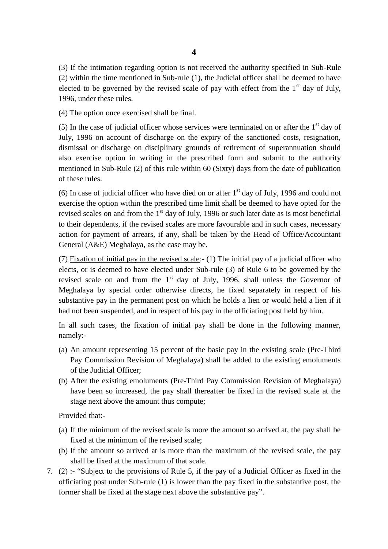(3) If the intimation regarding option is not received the authority specified in Sub-Rule (2) within the time mentioned in Sub-rule (1), the Judicial officer shall be deemed to have (2) whilm the time included in Sub-Tute (1), the statical officer share of electrica to have electred to be governed by the revised scale of pay with effect from the 1<sup>st</sup> day of July, 1996, under these rules.<br>(4) The opt 1996, under these rules.

(4) The option once exercised shall be final.

July, 1996 on account of discharge on the expiry of the sanctioned costs, resignation, dismissal or discharge on disciplinary grounds of retirement of superannuation should also exercise option in writing in the prescribed form and submit to the authority mentioned in Sub-Rule (2) of this rule within 60 (Sixty) days from the date of publication of these rules.

(6) In case of judicial officer who have died on or after  $1<sup>st</sup>$  day of July, 1996 and could not exercise the option within the prescribed time limit shall be deemed to have opted for the revised scales on and from the  $1<sup>st</sup>$  day of July, 1996 or such later date as is most beneficial % of these rules.<br>
(6) In case of judicial officer who have died on or after  $1<sup>st</sup>$  day of July, 1996 and could not<br>
exercise the option within the prescribed time limit shall be deemed to have opted for the<br>
revised action for payment of arrears, if any, shall be taken by the Head of Office/Accountant General (A&E) Meghalaya, as the case may be. revised scales on and from the 1<sup>st</sup> day of July, 1996 or such later date as is most beneficial<br>to their dependents, if the revised scales are more favourable and in such cases, necessary<br>action for payment of arrears, if

elects, or is deemed to have elected under Sub-rule (3) of Rule 6 to be governed by the revised scale on and from the  $1<sup>st</sup>$  day of July, 1996, shall unless the Governor of Meghalaya by special order otherwise directs, he fixed separately in respect of his substantive pay in the permanent post on which he holds a lien or would held a lien if it had not been suspended, and in respect of his pay in the officiating post held by him.

In all such cases, the fixation of initial pay shall be done in the following manner, namely:-

- Substantive pay in the permanent post on which he holds a helf of would held a helf h h<br>had not been suspended, and in respect of his pay in the officiating post held by him.<br>In all such cases, the fixation of initial pay Pay Commission Revision of Meghalaya) shall be added to the existing emoluments of the Judicial Officer; (a) An amount representing 15 percent of the basic pay in the existing scale (Pre-Third Pay Commission Revision of Meghalaya) shall be added to the existing emoluments of the Judicial Officer;<br>(b) After the existing emolum
- have been so increased, the pay shall thereafter be fixed in the revised scale at the stage next above the amount thus compute; (b) The minimum of the revised scale is more the amount so arrived at, the pay shall be fixed in the revised scale at the stage next above the amount thus compute;<br>Provided that:-<br>(a) If the minimum of the revised scale i

Provided that:-

- fixed at the minimum of the revised scale is more than the minimum of the revised scale is more than fixed at the minimum of the revised scale;<br>If the amount so arrived at is more than the r
- Frovided that:-<br>(a) If the minimum of the revised scale is more the amount so arrived at, the pay shall be<br>fixed at the minimum of the revised scale;<br>(b) If the amount so arrived at is more than the maximum of the revised shall be fixed at the maximum of that scale. 1. (b) If the amount so arrived at is more than the maximum of the revised scale, the pay shall be fixed at the maximum of that scale.<br>
1. (2) :- "Subject to the provisions of Rule 5, if the pay of a Judicial Officer as fi (b) If the amount so arrived at is more than the maximum of the revised scale, the pay
- former shall be fixed at the stage next above the substantive pay".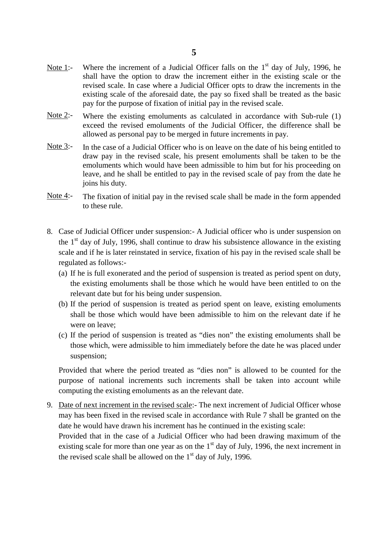- Note 1:- Where the increment of a Judicial Officer falls on the  $1<sup>st</sup>$  day of July, 1996, he shall have the option to draw the increment either in the existing scale or the revised scale. In case where a Judicial Officer opts to draw the increments in the existing scale of the aforesaid date, the pay so fixed shall be treated as the basic pay for the purpose of fixation of initial pay in the revised scale.
- Note 2:- Where the existing emoluments as calculated in accordance with Sub-rule  $(1)$ exceed the revised emoluments of the Judicial Officer, the difference shall be allowed as personal pay to be merged in future increments in pay.
- Note  $3$ :- In the case of a Judicial Officer who is on leave on the date of his being entitled to draw pay in the revised scale, his present emoluments shall be taken to be the emoluments which would have been admissible to him but for his proceeding on leave, and he shall be entitled to pay in the revised scale of pay from the date he joins his duty.
- Note  $4$ :- The fixation of initial pay in the revised scale shall be made in the form appended to these rule.
- Note 4:- The fixation of initial pay in the revised scale shall be made in the form appended<br>to these rule.<br>8. Case of Judicial Officer under suspension:- A Judicial officer who is under suspension on<br>the 1<sup>st</sup> day of Jul the  $1<sup>st</sup>$  day of July, 1996, shall continue to draw his subsistence allowance in the existing scale and if he is later reinstated in service, fixation of his pay in the revised scale shall be regulated as follows:- Case of Judicial Officer under suspension:- A Judicial officer who is under suspension on<br>the 1<sup>st</sup> day of July, 1996, shall continue to draw his subsistence allowance in the existing<br>scale and if he is later reinstated i
	- the existing emoluments shall be those which he would have been entitled to on the relevant date but for his being under suspension. The period of suspension is treated as period spent on duty,<br>
	the existing emoluments shall be those which he would have been entitled to on the<br>
	relevant date but for his being under suspension.<br>
	(b) If the period of susp
	- were on leave; If the period of suspension is treated as period spent on leave, existing emoluments shall be those which would have been admissible to him on the relevant date if he were on leave;<br>If the period of suspension is treated a
	- (c) If the period of suspension is treated as "dies non" the existing emoluments shall be suspension;

Provided that where the period treated as "dies non" is allowed to be counted for the purpose of national increments such increments shall be taken into account while computing the existing emoluments as an the relevant date.

9. Date of next increment in the revised scale:- The next increment of Judicial Officer whose may has been fixed in the revised scale in accordance with Rule 7 shall be granted on the date he would have drawn his increment has he continued in the existing scale:

Provided that in the case of a Judicial Officer who had been drawing maximum of the existing scale for more than one year as on the  $1<sup>st</sup>$  day of July, 1996, the next increment in the revised scale shall be allowed on the  $1<sup>st</sup>$  day of July, 1996.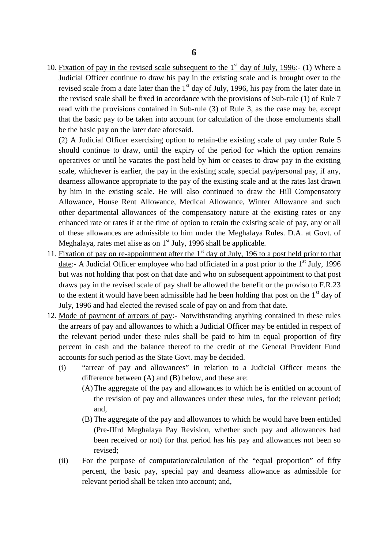10. Fixation of pay in the revised scale subsequent to the  $1<sup>st</sup>$  day of July, 1996:- (1) Where a Judicial Officer continue to draw his pay in the existing scale and is brought over to the Judicial Officer continue to draw his pay in the existing scale and is brought over to the revised scale from a date later than the  $1<sup>st</sup>$  day of July, 1996, his pay from the later date in **6**<br>Fixation of pay in the revised scale subsequent to the 1<sup>st</sup> day of July, 1996:- (1) Where a<br>Judicial Officer continue to draw his pay in the existing scale and is brought over to the<br>revised scale from a date later t read with the provisions contained in Sub-rule (3) of Rule 3, as the case may be, except that the basic pay to be taken into account for calculation of the those emoluments shall be the basic pay on the later date aforesaid. the revised scale shall be fixed in accordance with the provisions of Sub-rule (1) of Rule 7 read with the provisions contained in Sub-rule (3) of Rule 3, as the case may be, except that the basic pay to be taken into acc

should continue to draw, until the expiry of the period for which the option remains operatives or until he vacates the post held by him or ceases to draw pay in the existing scale, whichever is earlier, the pay in the existing scale, special pay/personal pay, if any, dearness allowance appropriate to the pay of the existing scale and at the rates last drawn by him in the existing scale. He will also continued to draw the Hill Compensatory Allowance, House Rent Allowance, Medical Allowance, Winter Allowance and such other departmental allowances of the compensatory nature at the existing rates or any enhanced rate or rates if at the time of option to retain the existing scale of pay, any or all of these allowances are admissible to him under the Meghalaya Rules. D.A. at Govt. of Meghalaya, rates met alise as on  $1<sup>st</sup>$  July, 1996 shall be applicable.

- 11. Fixation of pay on re-appointment after the  $1<sup>st</sup>$  day of July, 196 to a post held prior to that date:- A Judicial Officer employee who had officiated in a post prior to the  $1<sup>st</sup>$  July, 1996 enhanced rate or rates if at the time of option to retain the existing scale of pay, any or all<br>of these allowances are admissible to him under the Meghalaya Rules. D.A. at Govt. of<br>Meghalaya, rates met alise as on 1<sup>st</sup> draws pay in the revised scale of pay shall be allowed the benefit or the proviso to F.R.23 to the extent it would have been admissible had he been holding that post on the  $1<sup>st</sup>$  day of July, 1996 and had elected the revised scale of pay on and from that date. draws pay in the revised scale of pay shall be allowed the benefit or the proviso to F.R.23 to the extent it would have been admissible had he been holding that post on the 1<sup>st</sup> day of July, 1996 and had elected the revis
- to the extent it would have been admissible had he been holding that post on the 1<sup>st</sup> day of July, 1996 and had elected the revised scale of pay on and from that date.<br><u>Mode of payment of arrears of pay</u>:- Notwithstanding percent in cash and the balance thereof to the credit of the General Provident Fund accounts for such period as the State Govt. may be decided.
	- (i) "arrear of pay and allowances" in relation to a Judicial Officer means the difference between (A) and (B) below, and these are:
		- (A)The aggregate of the pay and allowances to which he is entitled on account of the revision of pay and allowances under these rules, for the relevant period; and, difference between (A) and (B) below, and these are:<br>
		(A) The aggregate of the pay and allowances to which he is entitled on account of<br>
		the revision of pay and allowances under these rules, for the relevant period;<br>
		and,<br>
	- (Pre-IIIrd Meghalaya Pay Revision, whether such pay and allowances had been received or not) for that period has his pay and allowances not been so revised; (B) The aggregate of the pay and allowances to which he would have been entitled<br>
	(Pre-IIIrd Meghalaya Pay Revision, whether such pay and allowances had<br>
	been received or not) for that period has his pay and allowances not
	- percent, the basic pay, special pay and dearness allowance as admissible for relevant period shall be taken into account; and,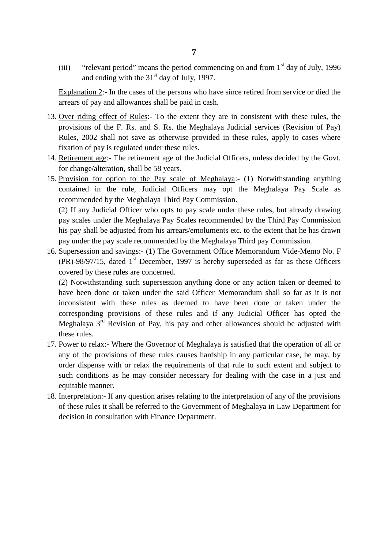(iii) "relevant period" means the period commencing on and from  $1<sup>st</sup>$  day of July, 1996 and ending with the  $31<sup>st</sup>$  day of July, 1997.

(iii) "relevant period" means the period commencing on and from  $1<sup>st</sup>$  day of July, 1996<br>and ending with the 31<sup>st</sup> day of July, 1997.<br>Explanation 2:- In the cases of the persons who have since retired from service or arrears of pay and allowances shall be paid in cash.

- Explanation 2:- In the cases of the persons who have since retired from service or died the<br>arrears of pay and allowances shall be paid in cash.<br>13. <u>Over riding effect of Rules</u>:- To the extent they are in consistent wit provisions of the F. Rs. and S. Rs. the Meghalaya Judicial services (Revision of Pay) Rules, 2002 shall not save as otherwise provided in these rules, apply to cases where fixation of pay is regulated under these rules. 13. <u>Over riding effect of Rules</u>:- To the extent they are in consistent with these rules, the provisions of the F. Rs. and S. Rs. the Meghalaya Judicial services (Revision of Pay) Rules, 2002 shall not save as otherwise p 15. Provision for option to the Pay scale of Meghalaya:- (1) Notwithstanding anything<br>15. Provision for option to the Pay scale of Meghalaya:- (1) Notwithstanding anything<br>15. Provision for option to the Pay scale of Megha
- for change/alteration, shall be 58 years.
- contained in the rule, Judicial Officers may opt the Meghalaya Pay Scale as recommended by the Meghalaya Third Pay Commission. (2) If any Judicial officers and option of the Pay scale of Meghalaya:- (1) Notwithstanding anything<br>contained in the rule, Judicial Officers may opt the Meghalaya Pay Scale as<br>recommended by the Meghalaya Third Pay Commis

Provision for option to the Pay scale of Meghalaya:- (1) Notwithstanding anything contained in the rule, Judicial Officers may opt the Meghalaya Pay Scale as recommended by the Meghalaya Third Pay Commission.<br>(2) If any Ju his pay shall be adjusted from his arrears/emoluments etc. to the extent that he has drawn pay under the pay scale recommended by the Meghalaya Third pay Commission. 16. (2) If any Judicial Officer who opts to pay scale under these rules, but already drawing pay scales under the Meghalaya Pay Scales recommended by the Third Pay Commission his pay shall be adjusted from his arrears/emo

 $(PR)$ -98/97/15, dated  $1<sup>st</sup>$  December, 1997 is hereby superseded as far as these Officers covered by these rules are concerned. pay under the pay scale recommended by the Meghalaya Third pay Commission.<br>
Supersession and savings:- (1) The Government Office Memorandum Vide-Memo No. F<br>
(PR)-98/97/15, dated 1<sup>st</sup> December, 1997 is hereby superseded as

have been done or taken under the said Officer Memorandum shall so far as it is not inconsistent with these rules as deemed to have been done or taken under the corresponding provisions of these rules and if any Judicial Officer has opted the Meghalaya 3<sup>rd</sup> Revision of Pay, his pay and other allowances should be adjusted with these rules. inconsistent with these rules as deemed to have been done or taken under the corresponding provisions of these rules and if any Judicial Officer has opted the Meghalaya 3<sup>rd</sup> Revision of Pay, his pay and other allowances s corresponding provisions of these rules and if any Judicial Officer has opted the Meghalaya  $3^{rd}$  Revision of Pay, his pay and other allowances should be adjusted with these rules.<br><u>Power to relax</u>:- Where the Governor o

- order dispense with or relax the requirements of that rule to such extent and subject to such conditions as he may consider necessary for dealing with the case in a just and equitable manner. The provisions of these rules causes hardship in any particular case, he may, by order dispense with or relax the requirements of that rule to such extent and subject to such conditions as he may consider necessary for dea order dispense with or relax the requirements of that rule to such extent and subject to such conditions as he may consider necessary for dealing with the case in a just and equitable manner.<br>Interpretation:- If any questi
- decision in consultation with Finance Department.